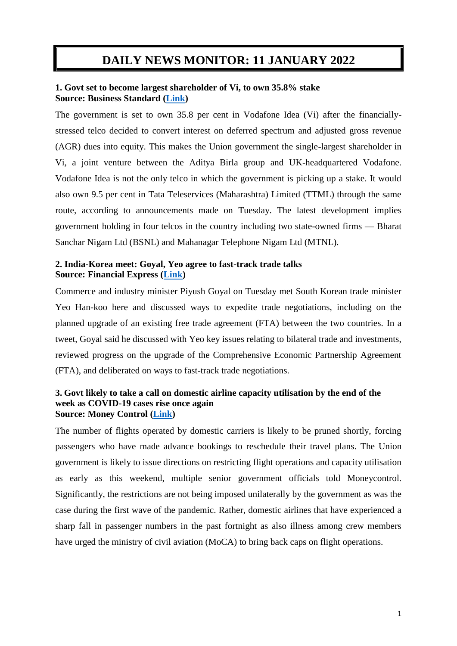# **DAILY NEWS MONITOR: 11 JANUARY 2022**

### **1. Govt set to become largest shareholder of Vi, to own 35.8% stake Source: Business Standard [\(Link\)](https://www.business-standard.com/article/companies/govt-set-to-become-largest-shareholder-of-vi-to-own-35-8-stake-122011100218_1.html)**

The government is set to own 35.8 per cent in Vodafone Idea (Vi) after the financiallystressed telco decided to convert interest on deferred spectrum and adjusted gross revenue (AGR) dues into equity. This makes the Union government the single-largest shareholder in Vi, a joint venture between the Aditya Birla group and UK-headquartered Vodafone. Vodafone Idea is not the only telco in which the government is picking up a stake. It would also own 9.5 per cent in Tata Teleservices (Maharashtra) Limited (TTML) through the same route, according to announcements made on Tuesday. The latest development implies government holding in four telcos in the country including two state-owned firms — Bharat Sanchar Nigam Ltd (BSNL) and Mahanagar Telephone Nigam Ltd (MTNL).

## **2. India-Korea meet: Goyal, Yeo agree to fast-track trade talks Source: Financial Express [\(Link\)](https://www.financialexpress.com/economy/india-korea-meet-goyal-yeo-agree-to-fast-track-trade-talks/2404291/)**

Commerce and industry minister Piyush Goyal on Tuesday met South Korean trade minister Yeo Han-koo here and discussed ways to expedite trade negotiations, including on the planned upgrade of an existing free trade agreement (FTA) between the two countries. In a tweet, Goyal said he discussed with Yeo key issues relating to bilateral trade and investments, reviewed progress on the upgrade of the Comprehensive Economic Partnership Agreement (FTA), and deliberated on ways to fast-track trade negotiations.

#### **3. Govt likely to take a call on domestic airline capacity utilisation by the end of the week as COVID-19 cases rise once again Source: Money Control [\(Link\)](https://www.moneycontrol.com/news/business/economy/govt-likely-to-take-a-call-on-domestic-airline-capacity-utilisation-by-the-end-of-the-week-as-covid-19-cases-rise-once-again-7924881.html)**

The number of flights operated by domestic carriers is likely to be pruned shortly, forcing passengers who have made advance bookings to reschedule their travel plans. The Union government is likely to issue directions on restricting flight operations and capacity utilisation as early as this weekend, multiple senior government officials told Moneycontrol. Significantly, the restrictions are not being imposed unilaterally by the government as was the case during the first wave of the pandemic. Rather, domestic airlines that have experienced a sharp fall in passenger numbers in the past fortnight as also illness among crew members have urged the ministry of civil aviation (MoCA) to bring back caps on flight operations.